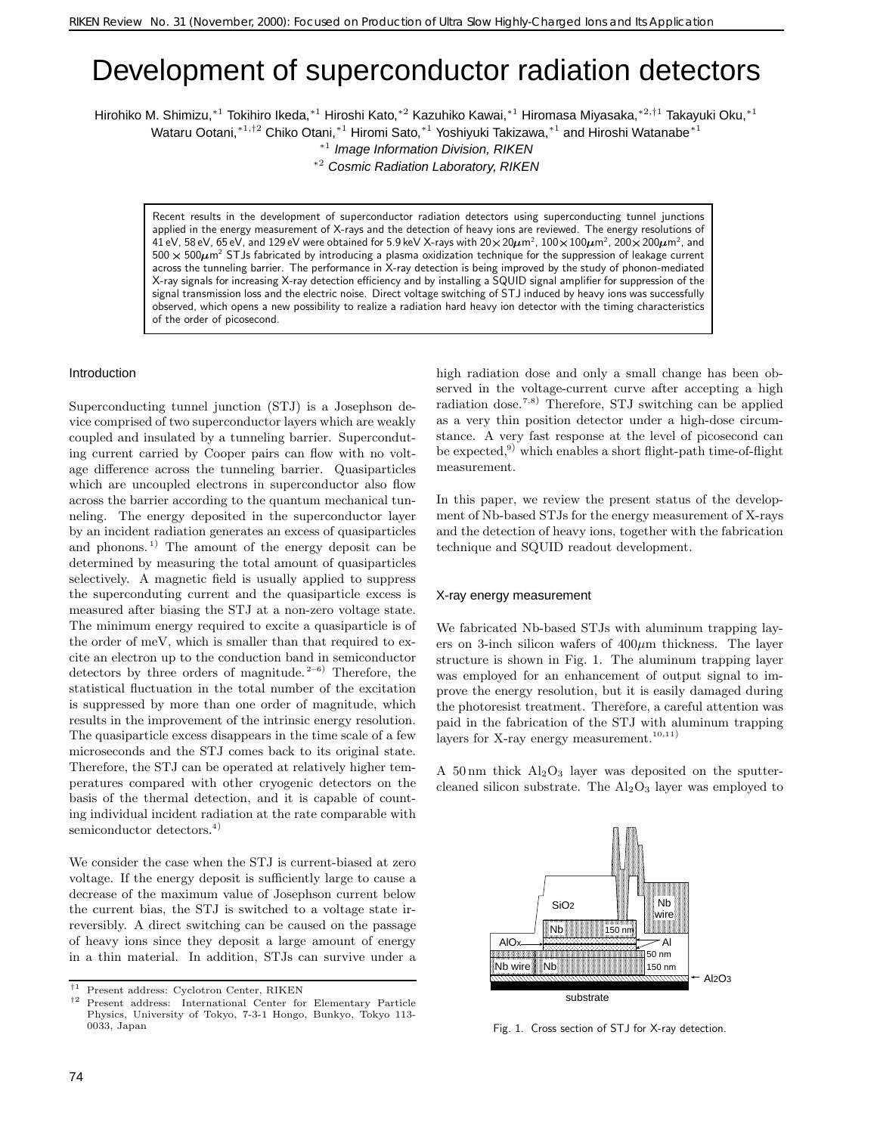# Development of superconductor radiation detectors

Hirohiko M. Shimizu,<sup>∗</sup>1 Tokihiro Ikeda,<sup>∗</sup>1 Hiroshi Kato,<sup>∗</sup>2 Kazuhiko Kawai,<sup>∗</sup>1 Hiromasa Miyasaka,<sup>∗</sup>2*,*†1 Takayuki Oku,<sup>∗</sup>1 Wataru Ootani,<sup>∗1,†2</sup> Chiko Otani,<sup>∗1</sup> Hiromi Sato,<sup>∗1</sup> Yoshiyuki Takizawa,<sup>∗1</sup> and Hiroshi Watanabe<sup>∗1</sup>

<sup>∗</sup><sup>1</sup> Image Information Division, RIKEN

<sup>∗</sup><sup>2</sup> Cosmic Radiation Laboratory, RIKEN

Recent results in the development of superconductor radiation detectors using superconducting tunnel junctions applied in the energy measurement of X-rays and the detection of heavy ions are reviewed. The energy resolutions of 41 eV, 58 eV, 65 eV, and 129 eV were obtained for 5.9 keV X-rays with 20  $\times$  20 $\mu$ m<sup>2</sup>, 100  $\times$  100 $\mu$ m $^2$ , 200  $\times$  200 $\mu$ m $^2$ , and  $500 \times 500 \mu$ m<sup>2</sup> STJs fabricated by introducing a plasma oxidization technique for the suppression of leakage current across the tunneling barrier. The performance in X-ray detection is being improved by the study of phonon-mediated X-ray signals for increasing X-ray detection efficiency and by installing a SQUID signal amplifier for suppression of the signal transmission loss and the electric noise. Direct voltage switching of STJ induced by heavy ions was successfully observed, which opens a new possibility to realize a radiation hard heavy ion detector with the timing characteristics of the order of picosecond.

## Introduction

Superconducting tunnel junction (STJ) is a Josephson device comprised of two superconductor layers which are weakly coupled and insulated by a tunneling barrier. Superconduting current carried by Cooper pairs can flow with no voltage difference across the tunneling barrier. Quasiparticles which are uncoupled electrons in superconductor also flow across the barrier according to the quantum mechanical tunneling. The energy deposited in the superconductor layer by an incident radiation generates an excess of quasiparticles and phonons.<sup>1)</sup> The amount of the energy deposit can be determined by measuring the total amount of quasiparticles selectively. A magnetic field is usually applied to suppress the superconduting current and the quasiparticle excess is measured after biasing the STJ at a non-zero voltage state. The minimum energy required to excite a quasiparticle is of the order of meV, which is smaller than that required to excite an electron up to the conduction band in semiconductor detectors by three orders of magnitude.<sup>2-6)</sup> Therefore, the statistical fluctuation in the total number of the excitation is suppressed by more than one order of magnitude, which results in the improvement of the intrinsic energy resolution. The quasiparticle excess disappears in the time scale of a few microseconds and the STJ comes back to its original state. Therefore, the STJ can be operated at relatively higher temperatures compared with other cryogenic detectors on the basis of the thermal detection, and it is capable of counting individual incident radiation at the rate comparable with semiconductor detectors.<sup>4)</sup>

We consider the case when the STJ is current-biased at zero voltage. If the energy deposit is sufficiently large to cause a decrease of the maximum value of Josephson current below the current bias, the STJ is switched to a voltage state irreversibly. A direct switching can be caused on the passage of heavy ions since they deposit a large amount of energy in a thin material. In addition, STJs can survive under a high radiation dose and only a small change has been observed in the voltage-current curve after accepting a high radiation dose.<sup>7,8)</sup> Therefore, STJ switching can be applied as a very thin position detector under a high-dose circumstance. A very fast response at the level of picosecond can be expected, $9)$  which enables a short flight-path time-of-flight measurement.

In this paper, we review the present status of the development of Nb-based STJs for the energy measurement of X-rays and the detection of heavy ions, together with the fabrication technique and SQUID readout development.

#### X-ray energy measurement

We fabricated Nb-based STJs with aluminum trapping layers on 3-inch silicon wafers of  $400 \mu m$  thickness. The layer structure is shown in Fig. 1. The aluminum trapping layer was employed for an enhancement of output signal to improve the energy resolution, but it is easily damaged during the photoresist treatment. Therefore, a careful attention was paid in the fabrication of the STJ with aluminum trapping layers for X-ray energy measurement.<sup>10,11)</sup>

A 50 nm thick  $Al_2O_3$  layer was deposited on the sputtercleaned silicon substrate. The  $Al_2O_3$  layer was employed to



Fig. 1. Cross section of STJ for X-ray detection.

<sup>&</sup>lt;sup>†1</sup> Present address: Cyclotron Center, RIKEN<br><sup>†2</sup> Present address: International Center for

*<sup>†</sup>*<sup>2</sup> Present address: International Center for Elementary Particle Physics, University of Tokyo, 7-3-1 Hongo, Bunkyo, Tokyo 113- 0033, Japan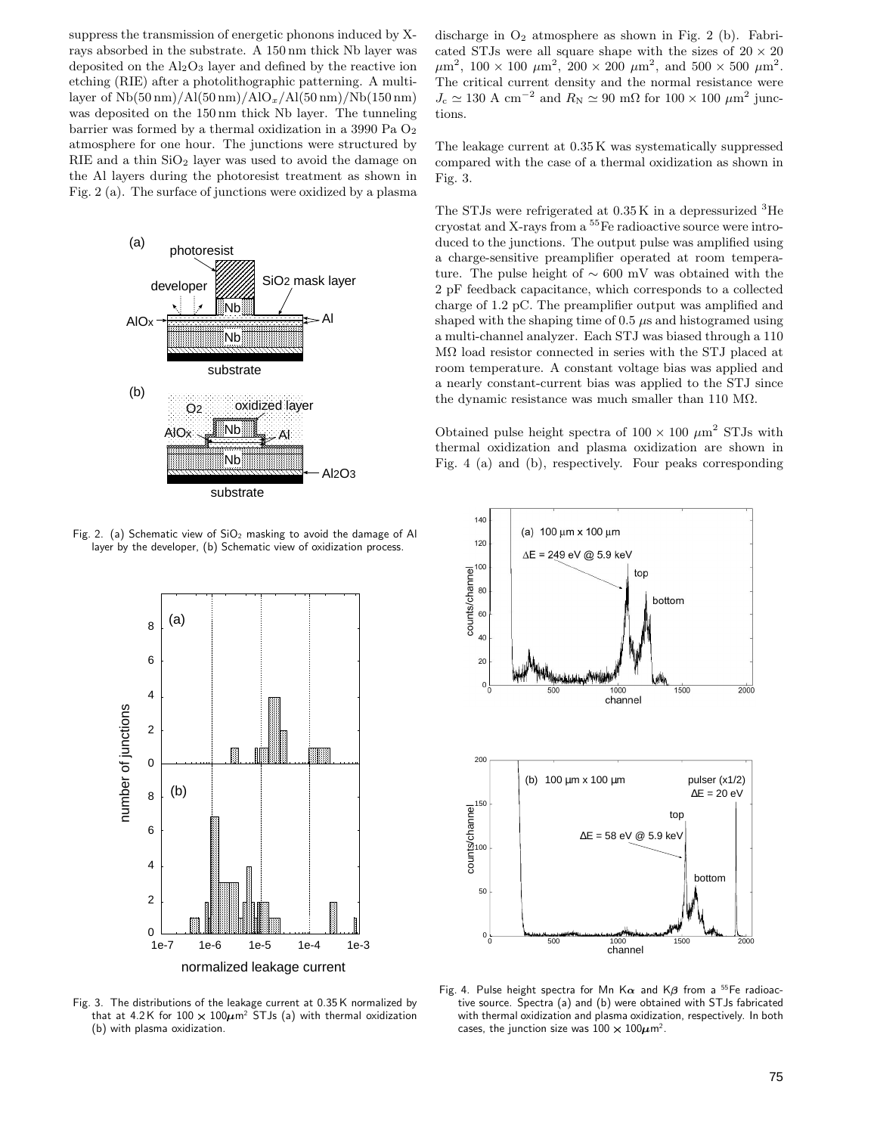suppress the transmission of energetic phonons induced by Xrays absorbed in the substrate. A 150 nm thick Nb layer was deposited on the  $\text{Al}_2\text{O}_3$  layer and defined by the reactive ion etching (RIE) after a photolithographic patterning. A multilayer of Nb(50 nm)/Al(50 nm)/AlO*x*/Al(50 nm)/Nb(150 nm) was deposited on the 150 nm thick Nb layer. The tunneling barrier was formed by a thermal oxidization in a 3990 Pa O2 atmosphere for one hour. The junctions were structured by  $RIE$  and a thin  $SiO<sub>2</sub>$  layer was used to avoid the damage on the Al layers during the photoresist treatment as shown in Fig. 2 (a). The surface of junctions were oxidized by a plasma



Fig. 2. (a) Schematic view of  $SiO<sub>2</sub>$  masking to avoid the damage of Al layer by the developer, (b) Schematic view of oxidization process.



Fig. 3. The distributions of the leakage current at 0.35 K normalized by that at 4.2K for 100  $\times$  100 $\mu$ m<sup>2</sup> STJs (a) with thermal oxidization (b) with plasma oxidization.

discharge in  $O_2$  atmosphere as shown in Fig. 2 (b). Fabricated STJs were all square shape with the sizes of  $20 \times 20$  $\mu$ m<sup>2</sup>, 100 × 100  $\mu$ m<sup>2</sup>, 200 × 200  $\mu$ m<sup>2</sup>, and 500 × 500  $\mu$ m<sup>2</sup>. The critical current density and the normal resistance were  $J_c \simeq 130 \text{ A cm}^{-2}$  and  $R_\text{N} \simeq 90 \text{ m}\Omega$  for  $100 \times 100 \mu \text{m}^2$  junctions.

The leakage current at 0.35 K was systematically suppressed compared with the case of a thermal oxidization as shown in Fig. 3.

The STJs were refrigerated at  $0.35K$  in a depressurized  ${}^{3}$ He cryostat and X-rays from a <sup>55</sup>Fe radioactive source were introduced to the junctions. The output pulse was amplified using a charge-sensitive preamplifier operated at room temperature. The pulse height of ∼ 600 mV was obtained with the 2 pF feedback capacitance, which corresponds to a collected charge of 1.2 pC. The preamplifier output was amplified and shaped with the shaping time of  $0.5 \mu s$  and histogramed using a multi-channel analyzer. Each STJ was biased through a 110 M $\Omega$  load resistor connected in series with the STJ placed at room temperature. A constant voltage bias was applied and a nearly constant-current bias was applied to the STJ since the dynamic resistance was much smaller than 110 M $\Omega$ .

Obtained pulse height spectra of  $100 \times 100 \ \mu m^2$  STJs with thermal oxidization and plasma oxidization are shown in Fig. 4 (a) and (b), respectively. Four peaks corresponding



Fig. 4. Pulse height spectra for Mn K $\alpha$  and K $\beta$  from a <sup>55</sup>Fe radioactive source. Spectra (a) and (b) were obtained with STJs fabricated with thermal oxidization and plasma oxidization, respectively. In both cases, the junction size was 100  $\times$  100 $\mu$ m $^2$ .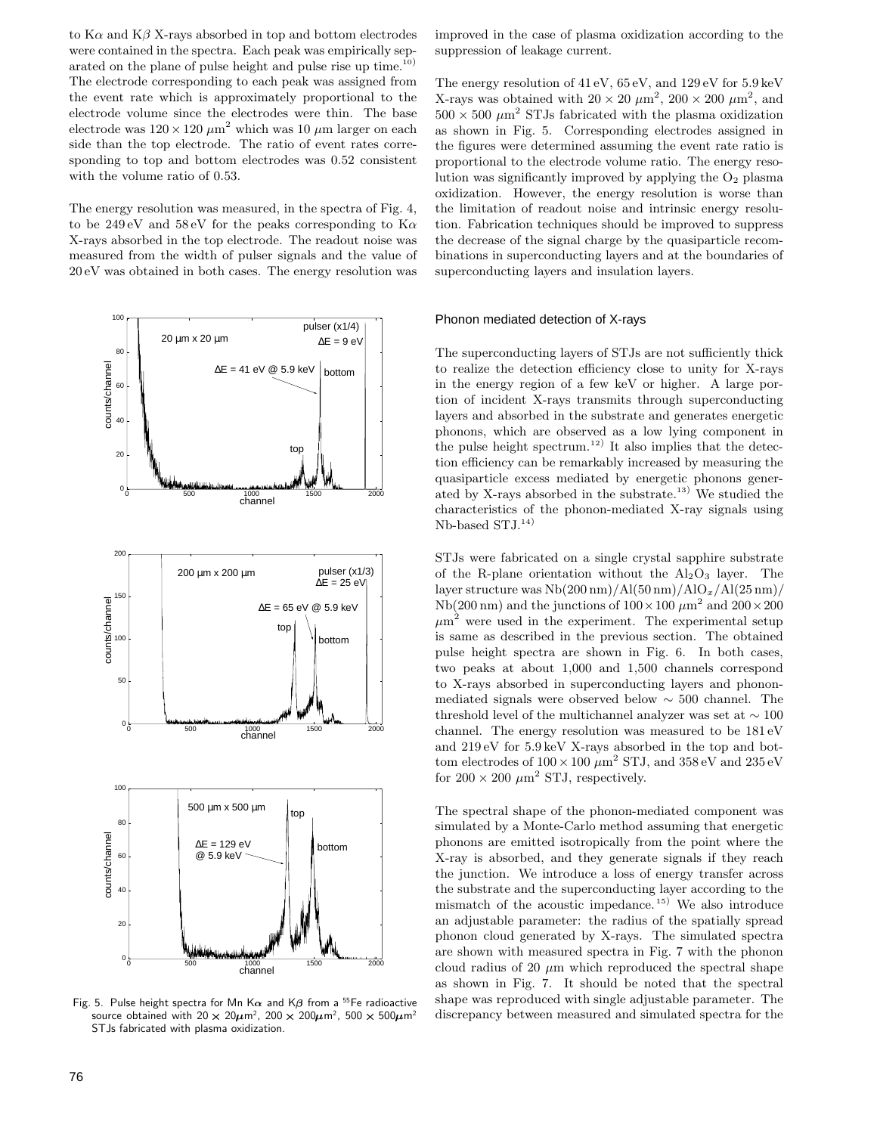to  $K\alpha$  and  $K\beta$  X-rays absorbed in top and bottom electrodes were contained in the spectra. Each peak was empirically separated on the plane of pulse height and pulse rise up time.<sup>10)</sup> The electrode corresponding to each peak was assigned from the event rate which is approximately proportional to the electrode volume since the electrodes were thin. The base electrode was  $120 \times 120 \ \mu m^2$  which was 10  $\mu$ m larger on each side than the top electrode. The ratio of event rates corresponding to top and bottom electrodes was 0.52 consistent with the volume ratio of 0.53.

The energy resolution was measured, in the spectra of Fig. 4, to be  $249\,\mathrm{eV}$  and  $58\,\mathrm{eV}$  for the peaks corresponding to  $\mathrm{K}\alpha$ X-rays absorbed in the top electrode. The readout noise was measured from the width of pulser signals and the value of 20 eV was obtained in both cases. The energy resolution was



Fig. 5. Pulse height spectra for Mn K $\alpha$  and K $\beta$  from a <sup>55</sup>Fe radioactive source obtained with 20  $\times$  20 $\mu$ m $^2$ , 200  $\times$  200 $\mu$ m $^2$ , 500  $\times$  500 $\mu$ m $^2$   $\hbox{dis}$ STJs fabricated with plasma oxidization.

improved in the case of plasma oxidization according to the suppression of leakage current.

The energy resolution of 41 eV, 65 eV, and 129 eV for 5.9 keV X-rays was obtained with  $20 \times 20 \ \mu \text{m}^2$ ,  $200 \times 200 \ \mu \text{m}^2$ , and  $500 \times 500 \ \mu m^2$  STJs fabricated with the plasma oxidization as shown in Fig. 5. Corresponding electrodes assigned in the figures were determined assuming the event rate ratio is proportional to the electrode volume ratio. The energy resolution was significantly improved by applying the  $O<sub>2</sub>$  plasma oxidization. However, the energy resolution is worse than the limitation of readout noise and intrinsic energy resolution. Fabrication techniques should be improved to suppress the decrease of the signal charge by the quasiparticle recombinations in superconducting layers and at the boundaries of superconducting layers and insulation layers.

### Phonon mediated detection of X-rays

The superconducting layers of STJs are not sufficiently thick to realize the detection efficiency close to unity for X-rays in the energy region of a few keV or higher. A large portion of incident X-rays transmits through superconducting layers and absorbed in the substrate and generates energetic phonons, which are observed as a low lying component in the pulse height spectrum.<sup>12)</sup> It also implies that the detection efficiency can be remarkably increased by measuring the quasiparticle excess mediated by energetic phonons generated by X-rays absorbed in the substrate.<sup>13</sup>) We studied the characteristics of the phonon-mediated X-ray signals using  $Nb$ -based  $STJ<sup>14</sup>$ 

STJs were fabricated on a single crystal sapphire substrate of the R-plane orientation without the  $Al_2O_3$  layer. The layer structure was Nb(200 nm)/Al(50 nm)/AlO*x*/Al(25 nm)/ Nb(200 nm) and the junctions of  $100 \times 100 \ \mu m^2$  and  $200 \times 200$  $\mu$ m<sup>2</sup> were used in the experiment. The experimental setup is same as described in the previous section. The obtained pulse height spectra are shown in Fig. 6. In both cases, two peaks at about 1,000 and 1,500 channels correspond to X-rays absorbed in superconducting layers and phononmediated signals were observed below ∼ 500 channel. The threshold level of the multichannel analyzer was set at  $\sim 100$ channel. The energy resolution was measured to be 181 eV and 219 eV for 5.9 keV X-rays absorbed in the top and bottom electrodes of  $100 \times 100 \ \mu m^2$  STJ, and  $358 \, \mathrm{eV}$  and  $235 \, \mathrm{eV}$ for  $200 \times 200 \ \mu m^2$  STJ, respectively.

The spectral shape of the phonon-mediated component was simulated by a Monte-Carlo method assuming that energetic phonons are emitted isotropically from the point where the X-ray is absorbed, and they generate signals if they reach the junction. We introduce a loss of energy transfer across the substrate and the superconducting layer according to the mismatch of the acoustic impedance. <sup>15</sup>) We also introduce an adjustable parameter: the radius of the spatially spread phonon cloud generated by X-rays. The simulated spectra are shown with measured spectra in Fig. 7 with the phonon cloud radius of 20  $\mu$ m which reproduced the spectral shape as shown in Fig. 7. It should be noted that the spectral shape was reproduced with single adjustable parameter. The discrepancy between measured and simulated spectra for the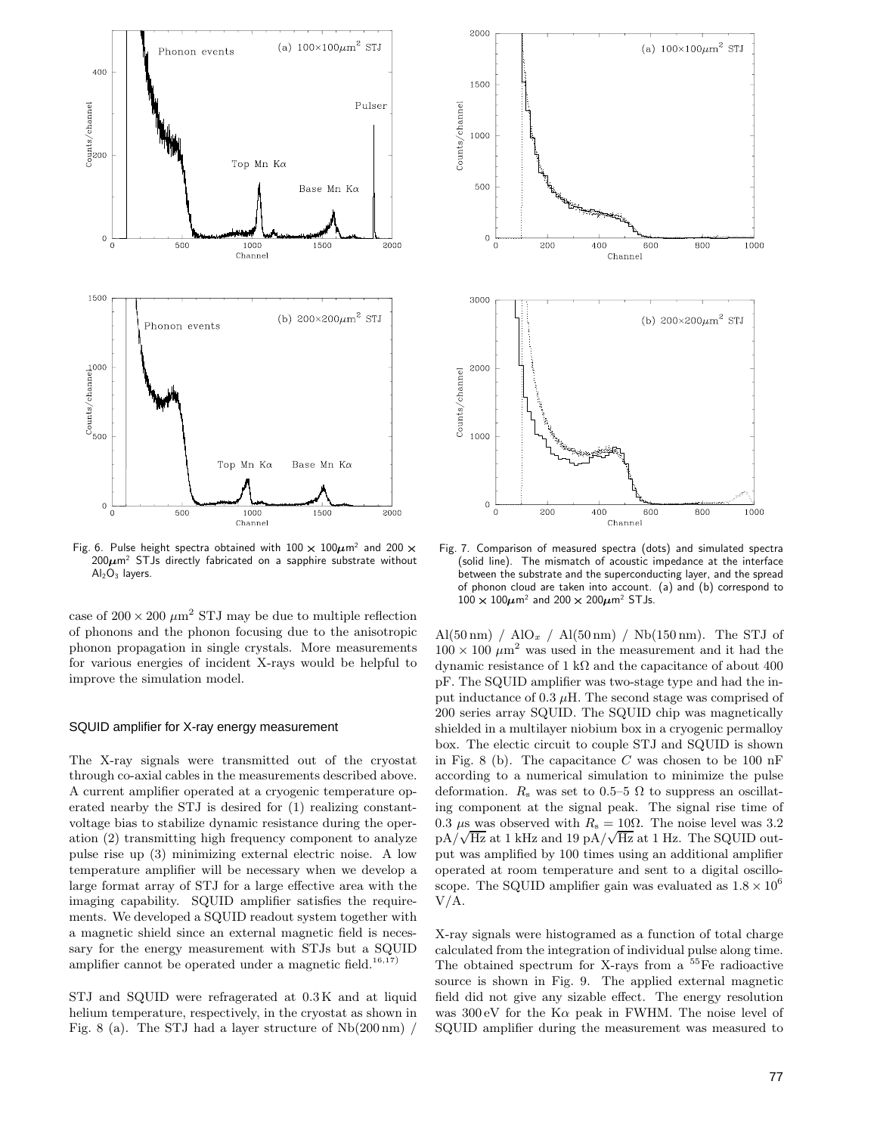

Fig. 6. Pulse height spectra obtained with  $100 \times 100 \mu$ m<sup>2</sup> and  $200 \times$  $200\mu$ m<sup>2</sup> STJs directly fabricated on a sapphire substrate without  $Al<sub>2</sub>O<sub>3</sub>$  layers.

case of  $200\times200~\mu\text{m}^2$  STJ may be due to multiple reflection of phonons and the phonon focusing due to the anisotropic phonon propagation in single crystals. More measurements for various energies of incident X-rays would be helpful to improve the simulation model.

# SQUID amplifier for X-ray energy measurement

The X-ray signals were transmitted out of the cryostat through co-axial cables in the measurements described above. A current amplifier operated at a cryogenic temperature operated nearby the STJ is desired for (1) realizing constantvoltage bias to stabilize dynamic resistance during the operation (2) transmitting high frequency component to analyze pulse rise up (3) minimizing external electric noise. A low temperature amplifier will be necessary when we develop a large format array of STJ for a large effective area with the imaging capability. SQUID amplifier satisfies the requirements. We developed a SQUID readout system together with a magnetic shield since an external magnetic field is necessary for the energy measurement with STJs but a SQUID amplifier cannot be operated under a magnetic field.<sup>16,17)</sup>

STJ and SQUID were refragerated at 0.3 K and at liquid helium temperature, respectively, in the cryostat as shown in Fig. 8 (a). The STJ had a layer structure of Nb(200 nm) /



 Fig. 7. Comparison of measured spectra (dots) and simulated spectra (solid line). The mismatch of acoustic impedance at the interface between the substrate and the superconducting layer, and the spread of phonon cloud are taken into account. (a) and (b) correspond to  $100 \times 100 \mu$ m<sup>2</sup> and  $200 \times 200 \mu$ m<sup>2</sup> STJs.

Al(50 nm) / AlO<sub>x</sub> / Al(50 nm) / Nb(150 nm). The STJ of  $100 \times 100 \ \mu \text{m}^2$  was used in the measurement and it had the dynamic resistance of 1 kΩ and the capacitance of about 400 pF. The SQUID amplifier was two-stage type and had the input inductance of 0.3  $\mu$ H. The second stage was comprised of 200 series array SQUID. The SQUID chip was magnetically shielded in a multilayer niobium box in a cryogenic permalloy box. The electic circuit to couple STJ and SQUID is shown in Fig. 8 (b). The capacitance C was chosen to be 100 nF according to a numerical simulation to minimize the pulse deformation.  $R_s$  was set to 0.5–5  $\Omega$  to suppress an oscillating component at the signal peak. The signal rise time of 0.3  $\mu$ s was observed with  $R_s = 10\Omega$ . The noise level was 3.2  $pA/\sqrt{Hz}$  at 1 kHz and 19  $pA/\sqrt{Hz}$  at 1 Hz. The SQUID output was amplified by 100 times using an additional amplifier operated at room temperature and sent to a digital oscilloscope. The SQUID amplifier gain was evaluated as  $1.8 \times 10^6$ V/A.

X-ray signals were histogramed as a function of total charge calculated from the integration of individual pulse along time. The obtained spectrum for X-rays from a  $55Fe$  radioactive source is shown in Fig. 9. The applied external magnetic field did not give any sizable effect. The energy resolution was  $300 \text{ eV}$  for the K $\alpha$  peak in FWHM. The noise level of SQUID amplifier during the measurement was measured to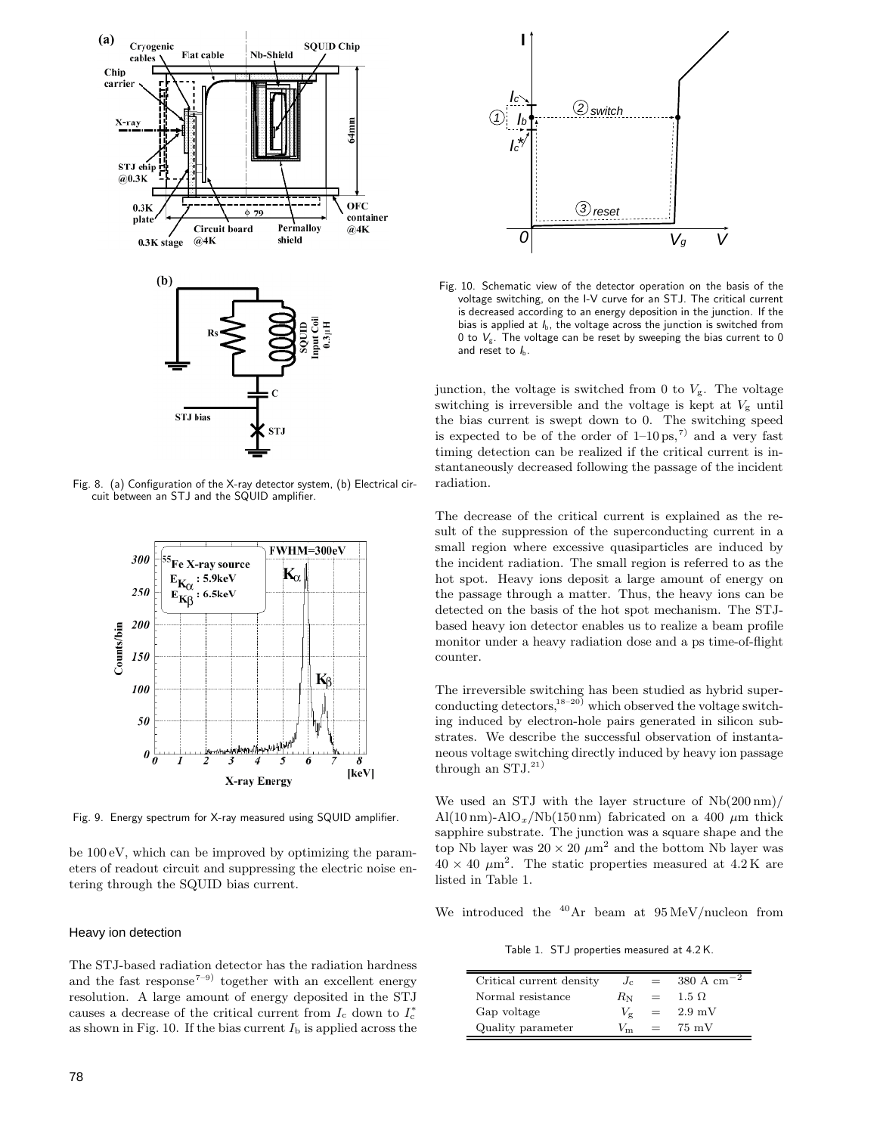

Fig. 8. (a) Configuration of the X-ray detector system, (b) Electrical circuit between an STJ and the SQUID amplifier.



Fig. 9. Energy spectrum for X-ray measured using SQUID amplifier.

be 100 eV, which can be improved by optimizing the parameters of readout circuit and suppressing the electric noise entering through the SQUID bias current.

#### Heavy ion detection

The STJ-based radiation detector has the radiation hardness and the fast response<sup> $7-9)$ </sup> together with an excellent energy resolution. A large amount of energy deposited in the STJ causes a decrease of the critical current from  $I_c$  down to  $I_c^*$ as shown in Fig. 10. If the bias current  $I<sub>b</sub>$  is applied across the



Fig. 10. Schematic view of the detector operation on the basis of the voltage switching, on the I-V curve for an STJ. The critical current is decreased according to an energy deposition in the junction. If the bias is applied at *I*b, the voltage across the junction is switched from 0 to *V*g. The voltage can be reset by sweeping the bias current to 0 and reset to  $I_{\rm b}$ .

junction, the voltage is switched from 0 to  $V_g$ . The voltage switching is irreversible and the voltage is kept at  $V<sub>g</sub>$  until the bias current is swept down to 0. The switching speed is expected to be of the order of  $1-10 \text{ ps},^7$  and a very fast timing detection can be realized if the critical current is instantaneously decreased following the passage of the incident radiation.

The decrease of the critical current is explained as the result of the suppression of the superconducting current in a small region where excessive quasiparticles are induced by the incident radiation. The small region is referred to as the hot spot. Heavy ions deposit a large amount of energy on the passage through a matter. Thus, the heavy ions can be detected on the basis of the hot spot mechanism. The STJbased heavy ion detector enables us to realize a beam profile monitor under a heavy radiation dose and a ps time-of-flight counter.

The irreversible switching has been studied as hybrid superconducting detectors,<sup>18–20)</sup> which observed the voltage switching induced by electron-hole pairs generated in silicon substrates. We describe the successful observation of instantaneous voltage switching directly induced by heavy ion passage through an  $STJ^{(21)}$ 

We used an STJ with the layer structure of Nb(200 nm)/ Al(10 nm)-AlO<sub>x</sub>/Nb(150 nm) fabricated on a 400  $\mu$ m thick sapphire substrate. The junction was a square shape and the top Nb layer was  $20 \times 20 \ \mu m^2$  and the bottom Nb layer was  $40 \times 40 \mu m^2$ . The static properties measured at  $4.2 K$  are listed in Table 1.

We introduced the  $40Ar$  beam at  $95 MeV/nucleon$  from

Table 1. STJ properties measured at 4.2 K.

| Critical current density | $J_{\rm c}$  | $=$ | $380 \text{ A cm}^{-2}$ |
|--------------------------|--------------|-----|-------------------------|
| Normal resistance        | $R_{\rm N}$  | $=$ | $1.5 \Omega$            |
| Gap voltage              | $V_{\sigma}$ | $=$ | $2.9 \text{ mV}$        |
| Quality parameter        |              | $=$ | $75 \text{ mV}$         |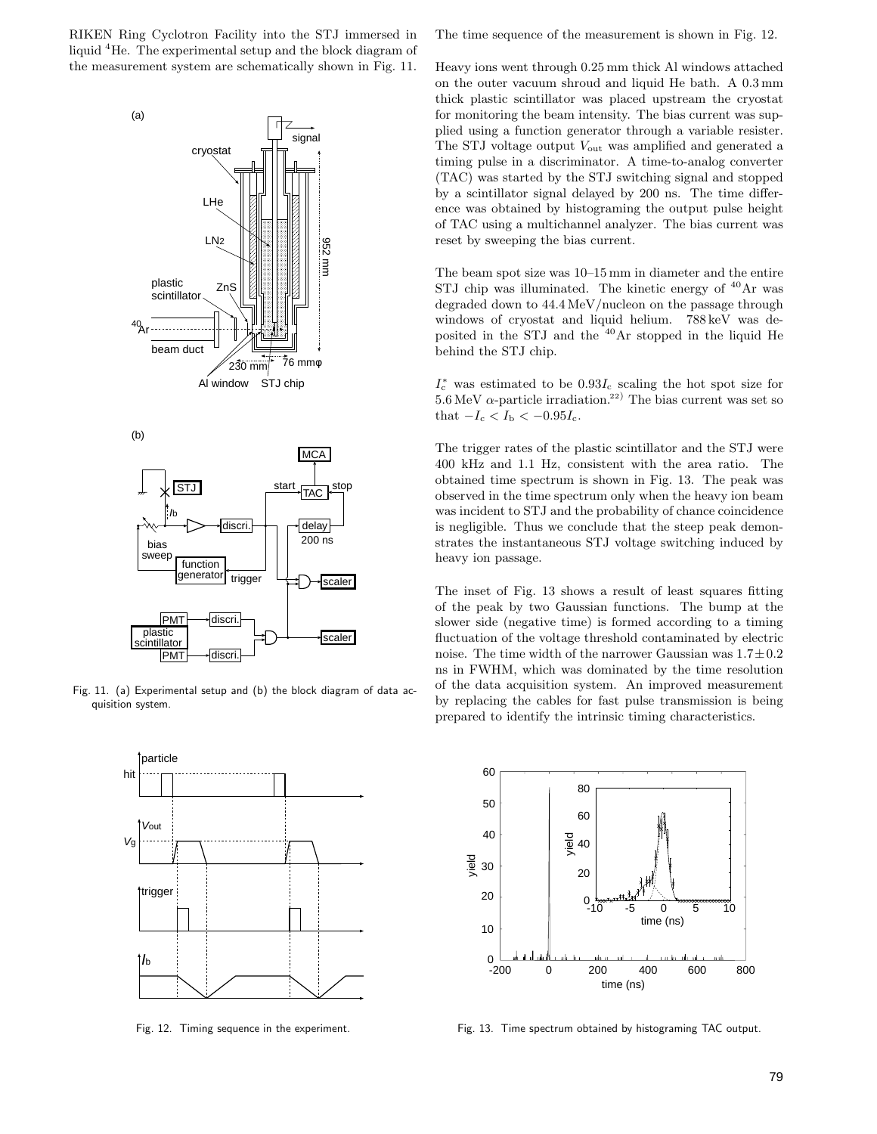RIKEN Ring Cyclotron Facility into the STJ immersed in liquid <sup>4</sup>He. The experimental setup and the block diagram of the measurement system are schematically shown in Fig. 11.



Fig. 11. (a) Experimental setup and (b) the block diagram of data acquisition system.



Fig. 12. Timing sequence in the experiment.

The time sequence of the measurement is shown in Fig. 12.

Heavy ions went through 0.25 mm thick Al windows attached on the outer vacuum shroud and liquid He bath. A 0.3 mm thick plastic scintillator was placed upstream the cryostat for monitoring the beam intensity. The bias current was supplied using a function generator through a variable resister. The STJ voltage output  $V_{\text{out}}$  was amplified and generated a timing pulse in a discriminator. A time-to-analog converter (TAC) was started by the STJ switching signal and stopped by a scintillator signal delayed by 200 ns. The time difference was obtained by histograming the output pulse height of TAC using a multichannel analyzer. The bias current was reset by sweeping the bias current.

The beam spot size was 10–15 mm in diameter and the entire STJ chip was illuminated. The kinetic energy of  $40\text{Ar}$  was degraded down to 44.4 MeV/nucleon on the passage through windows of cryostat and liquid helium. 788 keV was deposited in the STJ and the  $40\text{Ar}$  stopped in the liquid He behind the STJ chip.

 $I_c^*$  was estimated to be  $0.93I_c$  scaling the hot spot size for  $5.6 \,\mathrm{MeV}$   $\alpha$ -particle irradiation.<sup>22)</sup> The bias current was set so that  $-I_c < I_b < -0.95I_c$ .

The trigger rates of the plastic scintillator and the STJ were 400 kHz and 1.1 Hz, consistent with the area ratio. The obtained time spectrum is shown in Fig. 13. The peak was observed in the time spectrum only when the heavy ion beam was incident to STJ and the probability of chance coincidence is negligible. Thus we conclude that the steep peak demonstrates the instantaneous STJ voltage switching induced by heavy ion passage.

The inset of Fig. 13 shows a result of least squares fitting of the peak by two Gaussian functions. The bump at the slower side (negative time) is formed according to a timing fluctuation of the voltage threshold contaminated by electric noise. The time width of the narrower Gaussian was  $1.7 \pm 0.2$ ns in FWHM, which was dominated by the time resolution of the data acquisition system. An improved measurement by replacing the cables for fast pulse transmission is being prepared to identify the intrinsic timing characteristics.



Fig. 13. Time spectrum obtained by histograming TAC output.